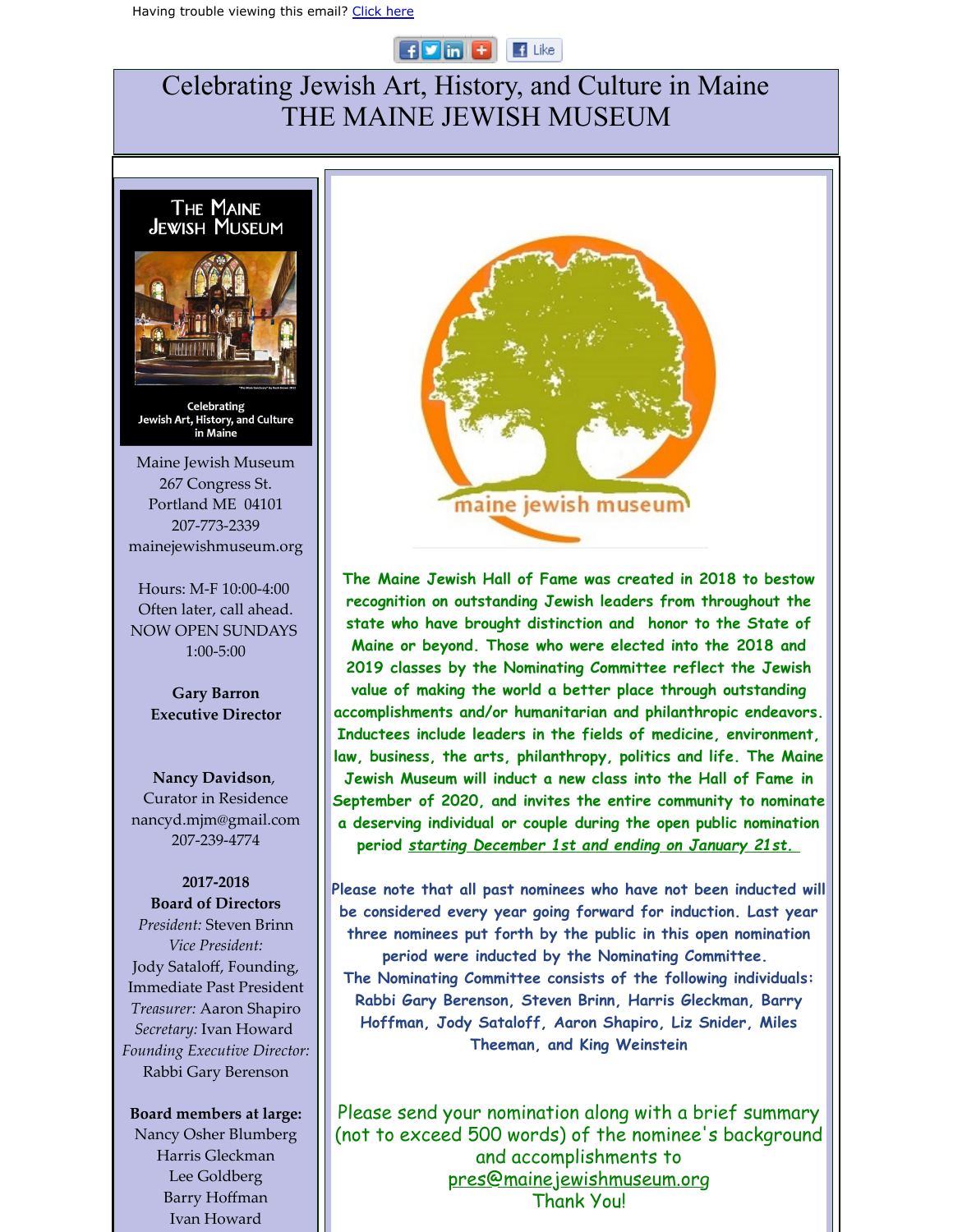

# Celebrating Jewish Art, History, and Culture in Maine THE MAINE JEWISH MUSEUM



Maine Jewish Museum 267 Congress St. Portland ME 04101 207-773-2339 mainejewishmuseum.org

Hours: M-F 10:00-4:00 Often later, call ahead. NOW OPEN SUNDAYS 1:00-5:00

> **Gary Barron Executive Director**

**Nancy Davidson**, Curator in Residence nancyd.mjm@gmail.com 207-239-4774

## **2017-2018 Board of Directors** *President:* Steven Brinn *Vice President:* Jody Sataloff, Founding, Immediate Past President *Treasurer:* Aaron Shapiro *Secretary:* Ivan Howard *Founding Executive Director:* Rabbi Gary Berenson

**Board members at large:** Nancy Osher Blumberg Harris Gleckman Lee Goldberg Barry Hoffman Ivan Howard



**The Maine Jewish Hall of Fame was created in 2018 to bestow recognition on outstanding Jewish leaders from throughout the state who have brought distinction and honor to the State of Maine or beyond. Those who were elected into the 2018 and 2019 classes by the Nominating Committee reflect the Jewish value of making the world a better place through outstanding accomplishments and/or humanitarian and philanthropic endeavors. Inductees include leaders in the fields of medicine, environment, law, business, the arts, philanthropy, politics and life. The Maine Jewish Museum will induct a new class into the Hall of Fame in September of 2020, and invites the entire community to nominate a deserving individual or couple during the open public nomination period** *starting December 1st and ending on January 21st.* 

**Please note that all past nominees who have not been inducted will be considered every year going forward for induction. Last year three nominees put forth by the public in this open nomination period were inducted by the Nominating Committee. The Nominating Committee consists of the following individuals: Rabbi Gary Berenson, Steven Brinn, Harris Gleckman, Barry Hoffman, Jody Sataloff, Aaron Shapiro, Liz Snider, Miles Theeman, and King Weinstein**

Please send your nomination along with a brief summary (not to exceed 500 words) of the nominee's background and accomplishments to [pres@mainejewishmuseum.org](mailto:pres@mainejewishmuseum.org) Thank You!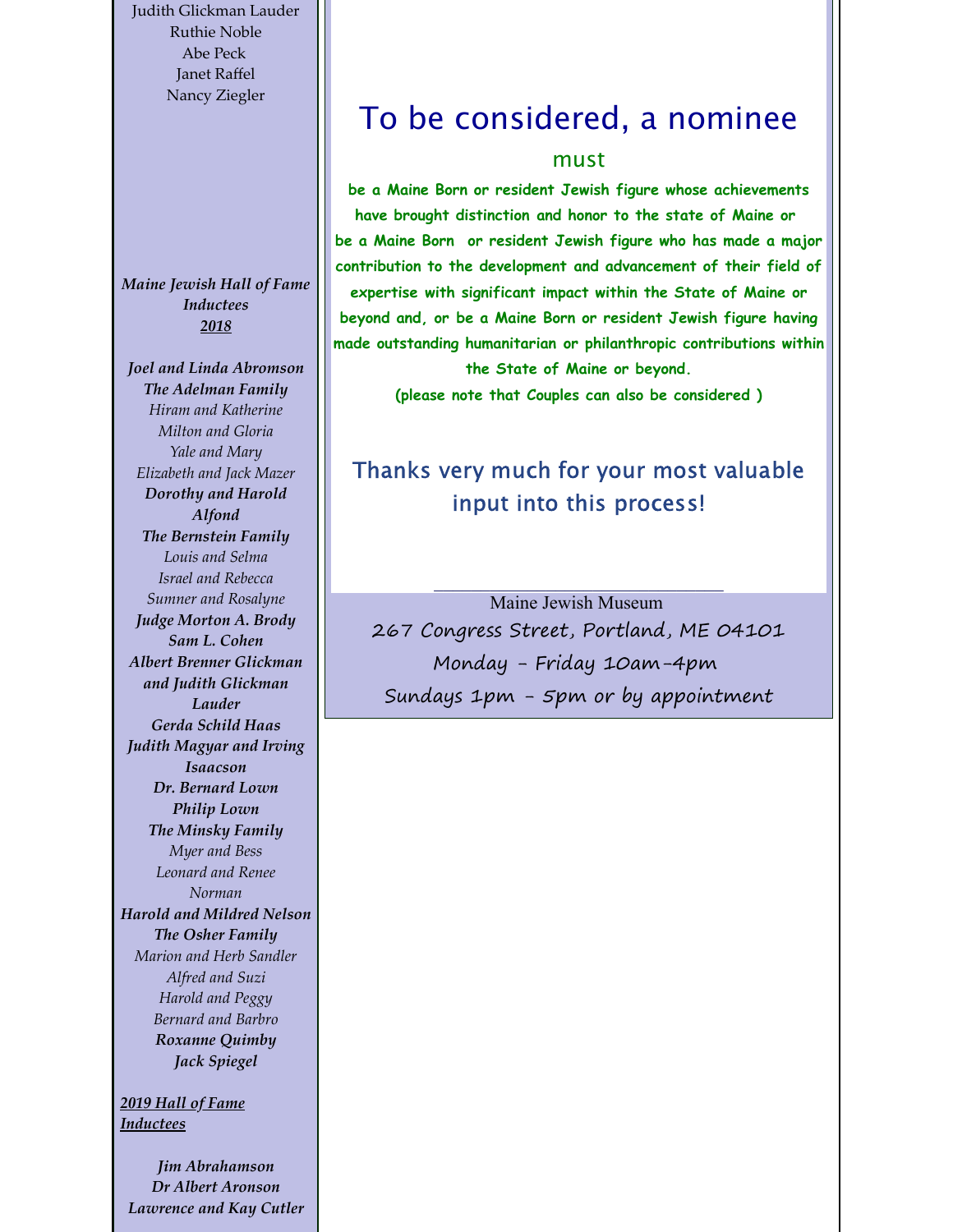Judith Glickman Lauder Ruthie Noble Abe Peck Janet Raffel Nancy Ziegler

*Maine Jewish Hall of Fame Inductees 2018*

*Joel and Linda Abromson The Adelman Family Hiram and Katherine Milton and Gloria Yale and Mary Elizabeth and Jack Mazer Dorothy and Harold Alfond The Bernstein Family Louis and Selma Israel and Rebecca Sumner and Rosalyne Judge Morton A. Brody Sam L. Cohen Albert Brenner Glickman and Judith Glickman Lauder Gerda Schild Haas Judith Magyar and Irving Isaacson Dr. Bernard Lown Philip Lown The Minsky Family Myer and Bess Leonard and Renee Norman Harold and Mildred Nelson The Osher Family Marion and Herb Sandler Alfred and Suzi Harold and Peggy Bernard and Barbro Roxanne Quimby Jack Spiegel*

*2019 Hall of Fame Inductees*

*Jim Abrahamson Dr Albert Aronson Lawrence and Kay Cutler*

# To be considered, a nominee

#### must

**be a Maine Born or resident Jewish figure whose achievements have brought distinction and honor to the state of Maine or be a Maine Born or resident Jewish figure who has made a major contribution to the development and advancement of their field of expertise with significant impact within the State of Maine or beyond and, or be a Maine Born or resident Jewish figure having made outstanding humanitarian or philanthropic contributions within the State of Maine or beyond. (please note that Couples can also be considered )**

## Thanks very much for your most valuable input into this process!

Maine Jewish Museum 267 Congress Street, Portland, ME 04101 Monday - Friday 10am-4pm Sundays 1pm - 5pm or by appointment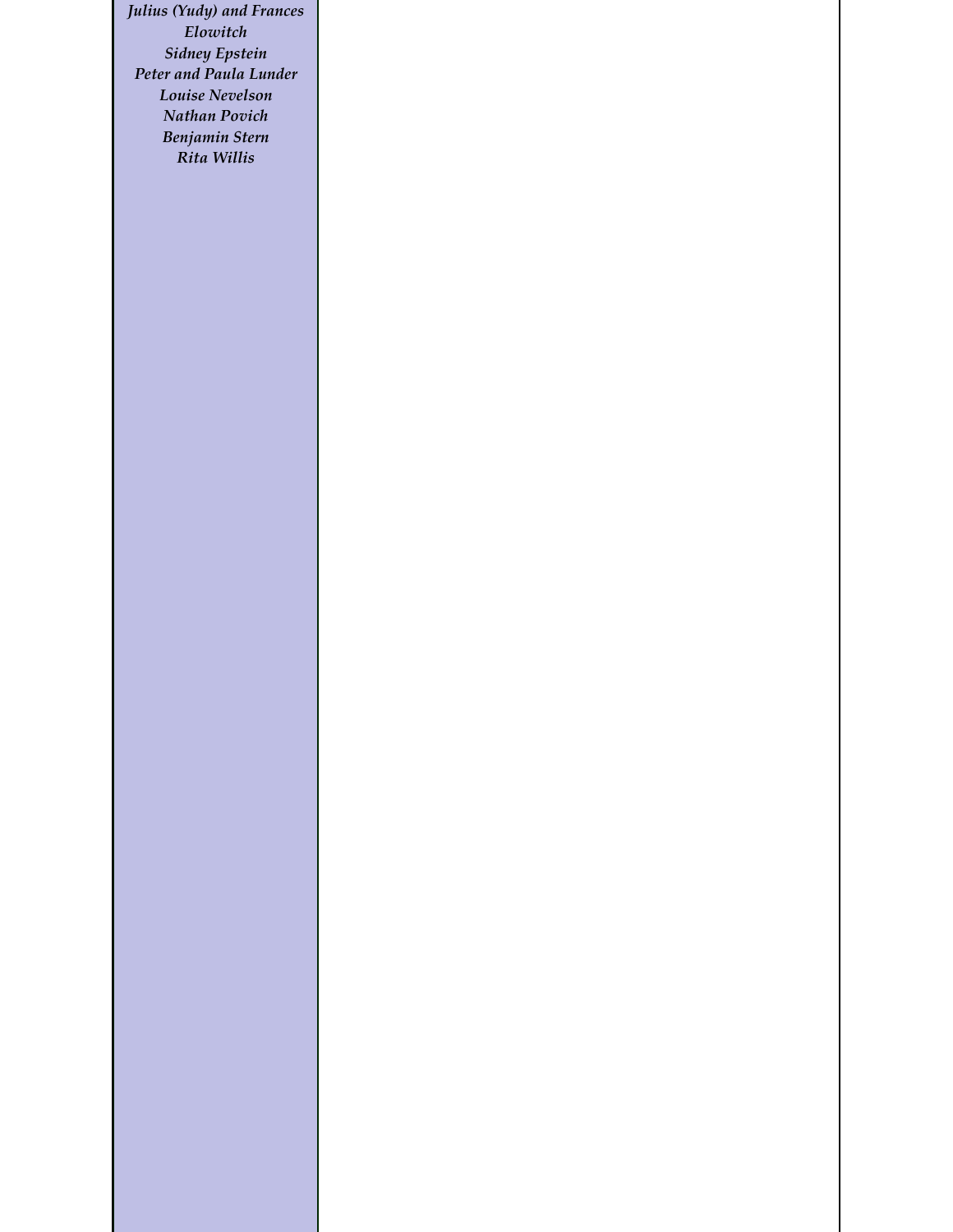*Julius (Yudy) and Frances Elowitch Sidney Epstein Peter and Paula Lunder Louise Nevelson Nathan Povich Benjamin Stern Rita Willis*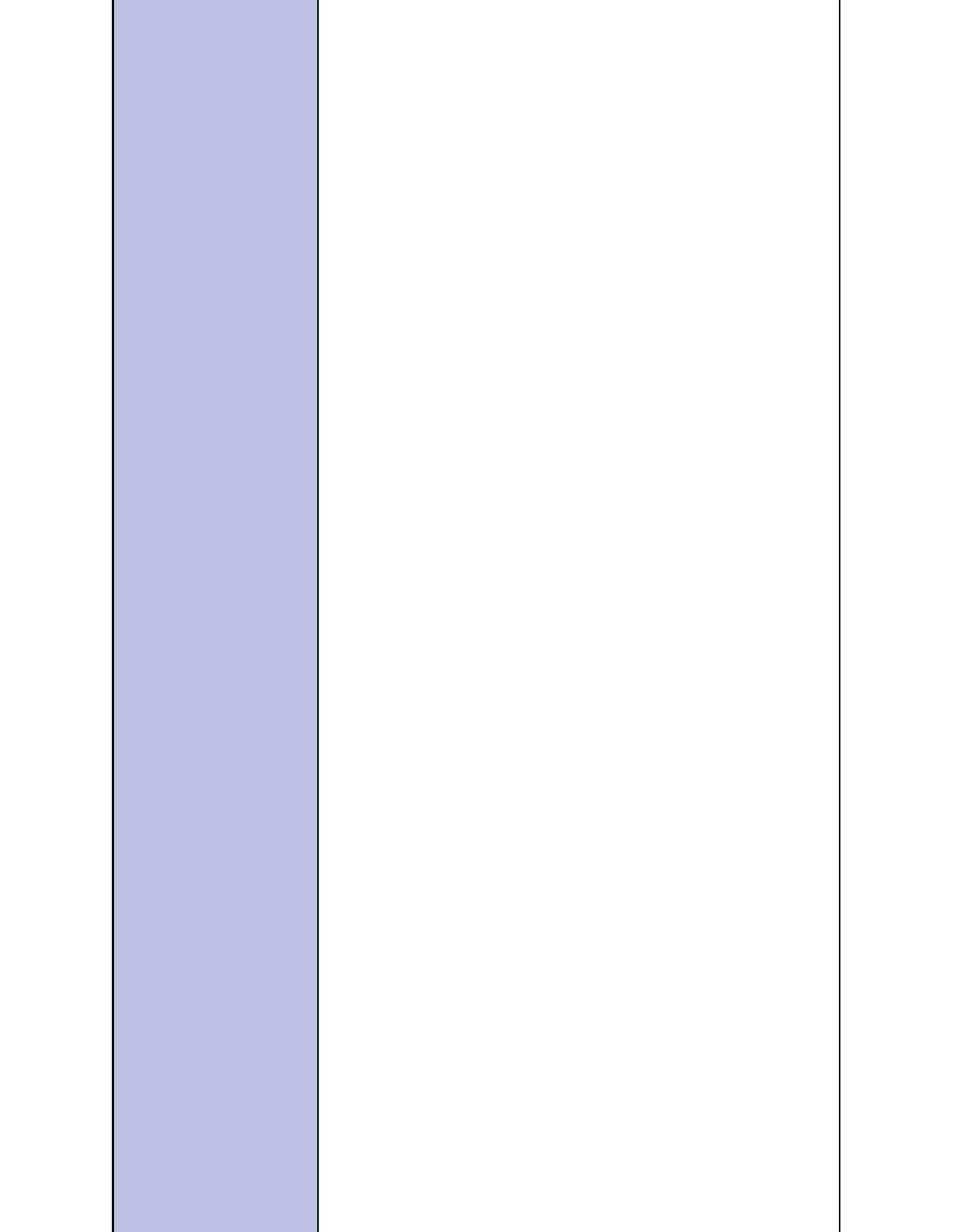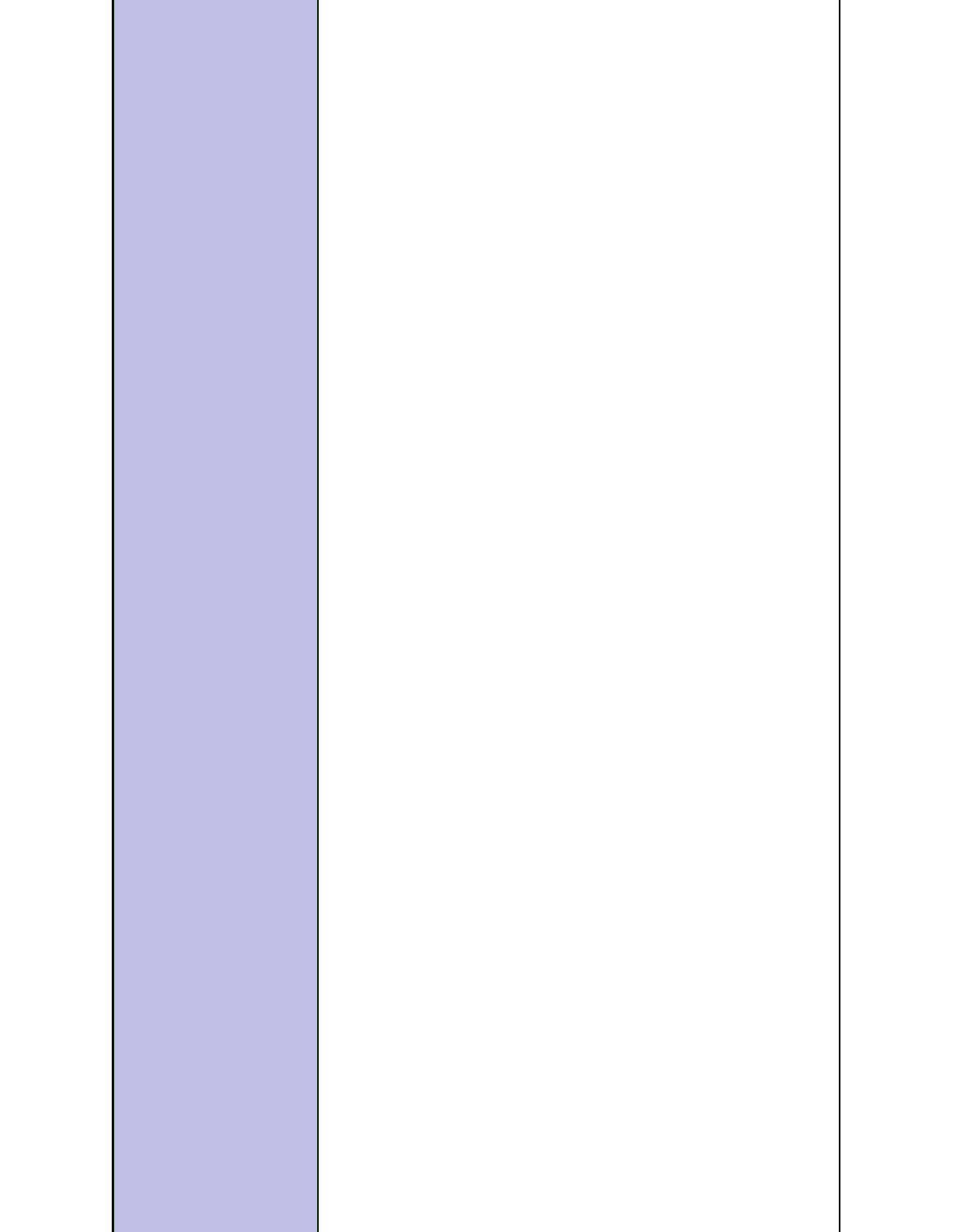